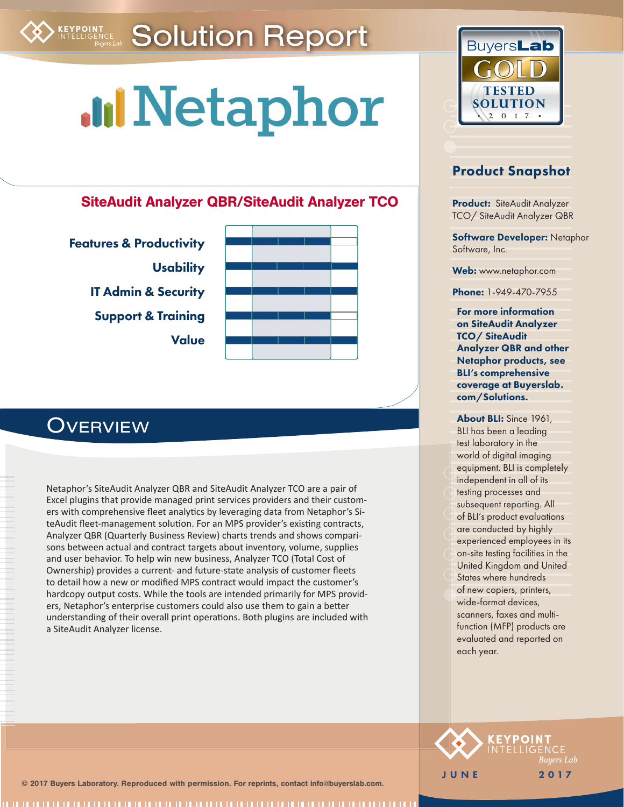# <span id="page-0-0"></span>Solution Report

# **MINetaphor**

### SiteAudit Analyzer QBR/SiteAudit Analyzer TCO

[Features & Productivity](#page-4-0) **[Usability](#page-6-0)** [IT Admin & Security](#page-6-1) [Support & Training](#page-6-2) [Value](#page-7-0)



## **OVERVIEW**

Netaphor's SiteAudit Analyzer QBR and SiteAudit Analyzer TCO are a pair of Excel plugins that provide managed print services providers and their customers with comprehensive fleet analytics by leveraging data from Netaphor's SiteAudit fleet-management solution. For an MPS provider's existing contracts, Analyzer QBR (Quarterly Business Review) charts trends and shows comparisons between actual and contract targets about inventory, volume, supplies and user behavior. To help win new business, Analyzer TCO (Total Cost of Ownership) provides a current- and future-state analysis of customer fleets to detail how a new or modified MPS contract would impact the customer's hardcopy output costs. While the tools are intended primarily for MPS providers, Netaphor's enterprise customers could also use them to gain a better understanding of their overall print operations. Both plugins are included with a SiteAudit Analyzer license.



### Product Snapshot

Product: SiteAudit Analyzer TCO/ SiteAudit Analyzer QBR

**Software Developer: Netaphor** Software, Inc.

Web: www.netaphor.com

Phone: 1-949-470-7955

For more information on SiteAudit Analyzer TCO/ SiteAudit Analyzer QBR and other Netaphor products, see BLI's comprehensive coverage at Buyerslab. com/Solutions.

About BLI: Since 1961, BLI has been a leading test laboratory in the world of digital imaging equipment. BLI is completely independent in all of its testing processes and subsequent reporting. All of BLI's product evaluations are conducted by highly experienced employees in its on-site testing facilities in the United Kingdom and United States where hundreds of new copiers, printers, wide-format devices, scanners, faxes and multifunction (MFP) products are evaluated and reported on each year.



© 2017 Buyers Laboratory. Reproduced with permission. For reprints, contact info@buyerslab.com.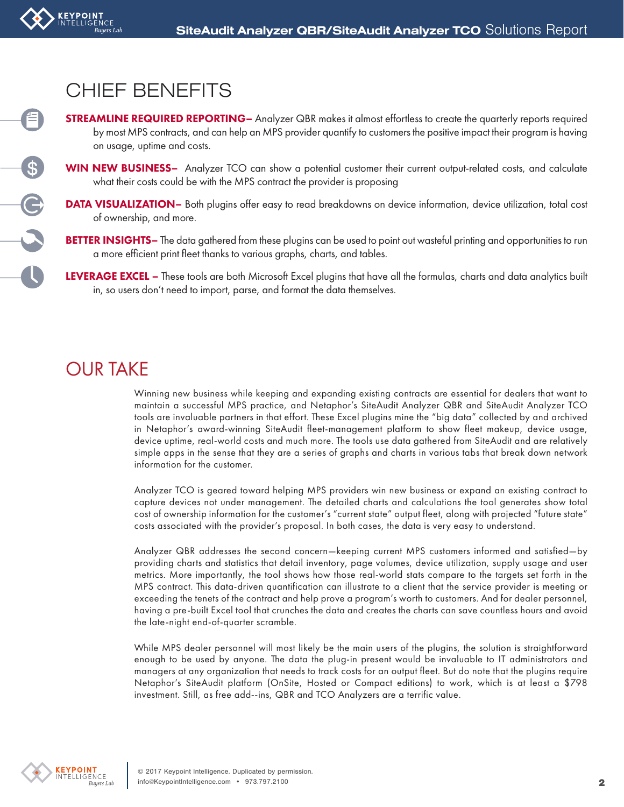## CHIEF BENEFITS

**KEYPOINT**<br>Intelligence

自

OCOO

- **STREAMLINE REQUIRED REPORTING** Analyzer QBR makes it almost effortless to create the quarterly reports required by most MPS contracts, and can help an MPS provider quantify to customers the positive impact their program is having on usage, uptime and costs.
- WIN NEW BUSINESS- Analyzer TCO can show a potential customer their current output-related costs, and calculate what their costs could be with the MPS contract the provider is proposing
- **DATA VISUALIZATION** Both plugins offer easy to read breakdowns on device information, device utilization, total cost of ownership, and more.
- BETTER INSIGHTS- The data gathered from these plugins can be used to point out wasteful printing and opportunities to run a more efficient print fleet thanks to various graphs, charts, and tables.
- LEVERAGE EXCEL These tools are both Microsoft Excel plugins that have all the formulas, charts and data analytics built in, so users don't need to import, parse, and format the data themselves.

# OUR TAKE

Winning new business while keeping and expanding existing contracts are essential for dealers that want to maintain a successful MPS practice, and Netaphor's SiteAudit Analyzer QBR and SiteAudit Analyzer TCO tools are invaluable partners in that effort. These Excel plugins mine the "big data" collected by and archived in Netaphor's award-winning SiteAudit fleet-management platform to show fleet makeup, device usage, device uptime, real-world costs and much more. The tools use data gathered from SiteAudit and are relatively simple apps in the sense that they are a series of graphs and charts in various tabs that break down network information for the customer.

Analyzer TCO is geared toward helping MPS providers win new business or expand an existing contract to capture devices not under management. The detailed charts and calculations the tool generates show total cost of ownership information for the customer's "current state" output fleet, along with projected "future state" costs associated with the provider's proposal. In both cases, the data is very easy to understand.

Analyzer QBR addresses the second concern—keeping current MPS customers informed and satisfied—by providing charts and statistics that detail inventory, page volumes, device utilization, supply usage and user metrics. More importantly, the tool shows how those real-world stats compare to the targets set forth in the MPS contract. This data-driven quantification can illustrate to a client that the service provider is meeting or exceeding the tenets of the contract and help prove a program's worth to customers. And for dealer personnel, having a pre-built Excel tool that crunches the data and creates the charts can save countless hours and avoid the late-night end-of-quarter scramble.

While MPS dealer personnel will most likely be the main users of the plugins, the solution is straightforward enough to be used by anyone. The data the plug-in present would be invaluable to IT administrators and managers at any organization that needs to track costs for an output fleet. But do note that the plugins require Netaphor's SiteAudit platform (OnSite, Hosted or Compact editions) to work, which is at least a \$798 investment. Still, as free add--ins, QBR and TCO Analyzers are a terrific value.

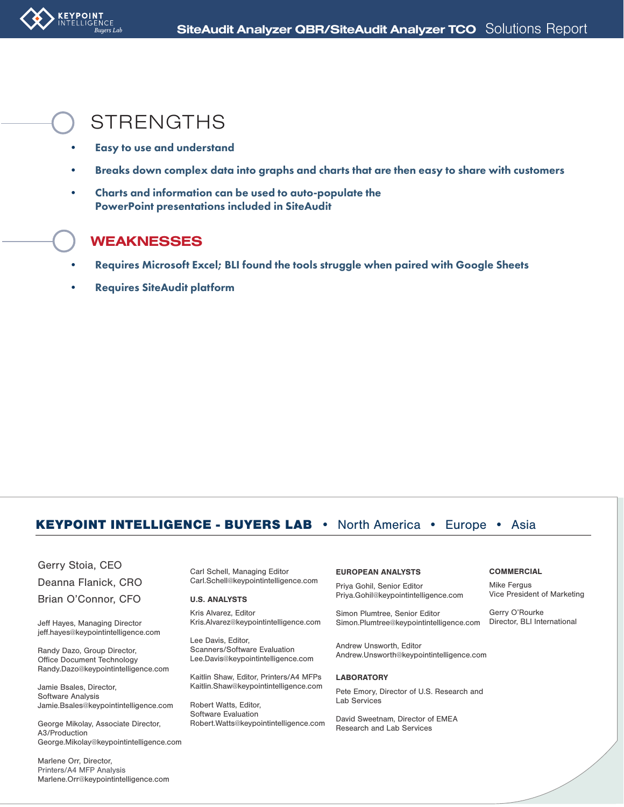

### **STRENGTHS**

- Easy to use and understand
- Breaks down complex data into graphs and charts that are then easy to share with customers
- Charts and information can be used to auto-populate the PowerPoint presentations included in SiteAudit

### **WEAKNESSES**

- Requires Microsoft Excel; BLI found the tools struggle when paired with Google Sheets
- Requires SiteAudit platform

### KEYPOINT INTELLIGENCE - BUYERS LAB • North America • Europe • Asia

Gerry Stoia, CEO

Deanna Flanick, CRO

Brian O'Connor, CFO

Jeff Hayes, Managing Director jeff.hayes@keypointintelligence.com

Randy Dazo, Group Director, Office Document Technology Randy.Dazo@keypointintelligence.com

Jamie Bsales, Director, Software Analysis Jamie.Bsales@keypointintelligence.com

George Mikolay, Associate Director, A3/Production George.Mikolay@keypointintelligence.com

Marlene Orr, Director, Printers/A4 MFP Analysis Marlene.Orr@keypointintelligence.com Carl Schell, Managing Editor Carl.Schell@keypointintelligence.com

#### U.S. ANALYSTS

Kris Alvarez, Editor Kris.Alvarez@keypointintelligence.com

Lee Davis, Editor, Scanners/Software Evaluation Lee.Davis@keypointintelligence.com

Kaitlin Shaw, Editor, Printers/A4 MFPs Kaitlin.Shaw@keypointintelligence.com

Robert Watts, Editor, Software Evaluation Robert.Watts@keypointintelligence.com

#### EUROPEAN ANALYSTS

Priya Gohil, Senior Editor Priya.Gohil@keypointintelligence.com

Simon Plumtree, Senior Editor Simon.Plumtree@keypointintelligence.com

Andrew Unsworth, Editor Andrew.Unsworth@keypointintelligence.com

#### **LABORATORY**

Pete Emory, Director of U.S. Research and Lab Services

David Sweetnam, Director of EMEA Research and Lab Services

#### **COMMERCIAL**

Mike Fergus Vice President of Marketing

Gerry O'Rourke Director, BLI International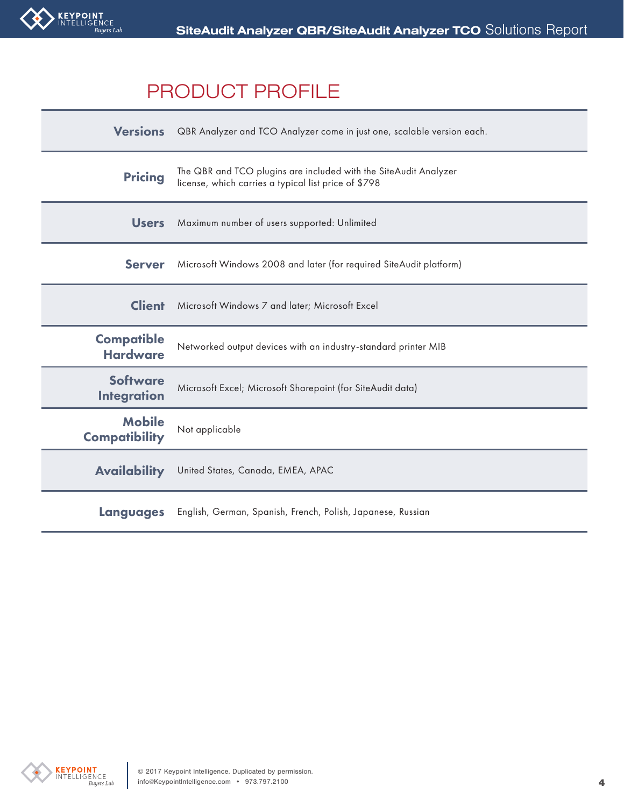

## PRODUCT PROFILE

| <b>Versions</b>                       | QBR Analyzer and TCO Analyzer come in just one, scalable version each.                                                   |
|---------------------------------------|--------------------------------------------------------------------------------------------------------------------------|
| <b>Pricing</b>                        | The QBR and TCO plugins are included with the SiteAudit Analyzer<br>license, which carries a typical list price of \$798 |
| <b>Users</b>                          | Maximum number of users supported: Unlimited                                                                             |
| <b>Server</b>                         | Microsoft Windows 2008 and later (for required SiteAudit platform)                                                       |
| <b>Client</b>                         | Microsoft Windows 7 and later; Microsoft Excel                                                                           |
| <b>Compatible</b><br><b>Hardware</b>  | Networked output devices with an industry-standard printer MIB                                                           |
| <b>Software</b><br><b>Integration</b> | Microsoft Excel; Microsoft Sharepoint (for SiteAudit data)                                                               |
| <b>Mobile</b><br><b>Compatibility</b> | Not applicable                                                                                                           |
| <b>Availability</b>                   | United States, Canada, EMEA, APAC                                                                                        |
| Languages                             | English, German, Spanish, French, Polish, Japanese, Russian                                                              |

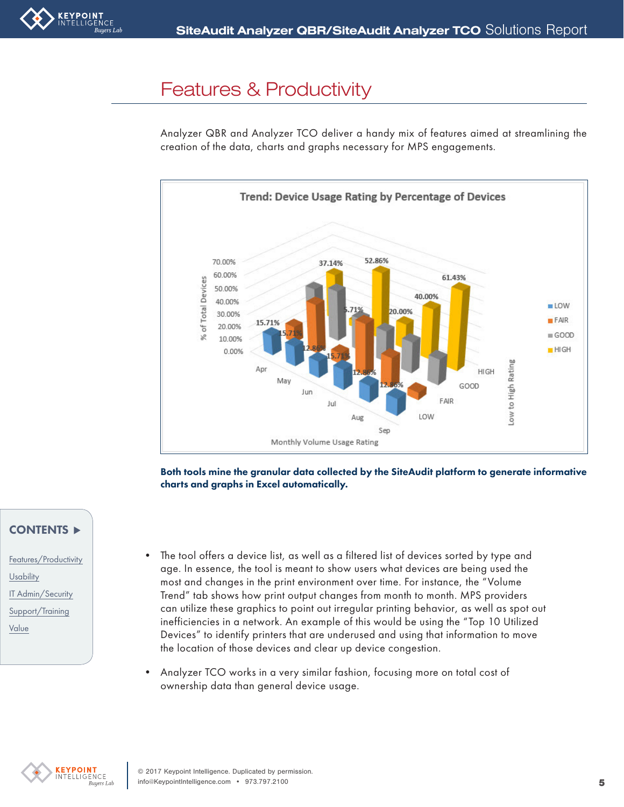<span id="page-4-0"></span>

### [Features & Productivity](#page-0-0)

Analyzer QBR and Analyzer TCO deliver a handy mix of features aimed at streamlining the creation of the data, charts and graphs necessary for MPS engagements.



Both tools mine the granular data collected by the SiteAudit platform to generate informative charts and graphs in Excel automatically.

### CONTENTS

- [Features/Productivity](#page-4-0) **[Usability](#page-6-0)** [IT Admin/Security](#page-6-1) [Support/Training](#page-6-2) [Value](#page-7-0)
- The tool offers a device list, as well as a filtered list of devices sorted by type and age. In essence, the tool is meant to show users what devices are being used the most and changes in the print environment over time. For instance, the "Volume Trend" tab shows how print output changes from month to month. MPS providers can utilize these graphics to point out irregular printing behavior, as well as spot out inefficiencies in a network. An example of this would be using the "Top 10 Utilized Devices" to identify printers that are underused and using that information to move the location of those devices and clear up device congestion.
- Analyzer TCO works in a very similar fashion, focusing more on total cost of ownership data than general device usage.

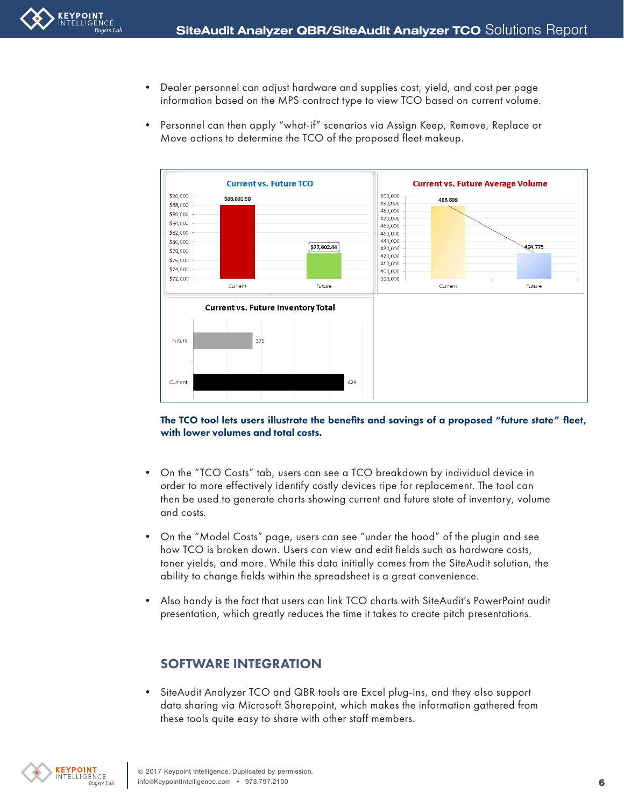- Dealer personnel can adjust hardware and supplies cost, yield, and cost per page information based on the MPS contract type to view TCO based on current volume.
- Personnel can then apply "what-if" scenarios via Assign Keep, Remove, Replace or Move actions to determine the TCO of the proposed fleet makeup.



The TCO tool lets users illustrate the benefits and savings of a proposed "future state" fleet, with lower volumes and total costs.

- On the "TCO Costs" tab, users can see a TCO breakdown by individual device in order to more effectively identify costly devices ripe for replacement. The tool can then be used to generate charts showing current and future state of inventory, volume and costs.
- On the "Model Costs" page, users can see "under the hood" of the plugin and see how TCO is broken down. Users can view and edit fields such as hardware costs, toner yields, and more. While this data initially comes from the SiteAudit solution, the ability to change fields within the spreadsheet is a great convenience.
- Also handy is the fact that users can link TCO charts with SiteAudit's PowerPoint audit presentation, which greatly reduces the time it takes to create pitch presentations.

### SOFTWARE INTEGRATION

• SiteAudit Analyzer TCO and QBR tools are Excel plug-ins, and they also support data sharing via Microsoft Sharepoint, which makes the information gathered from these tools quite easy to share with other staff members.

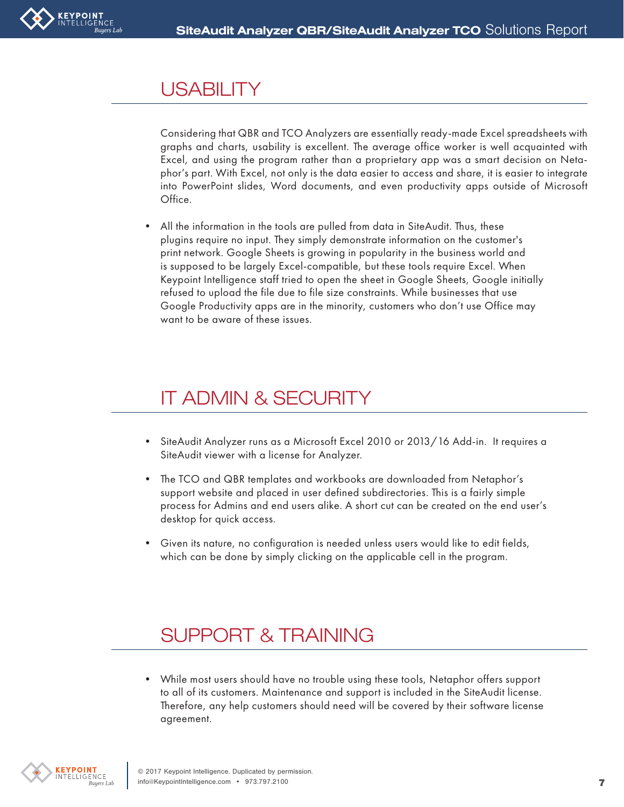# <span id="page-6-0"></span>**[USABILITY](#page-0-0)**

Considering that QBR and TCO Analyzers are essentially ready-made Excel spreadsheets with graphs and charts, usability is excellent. The average office worker is well acquainted with Excel, and using the program rather than a proprietary app was a smart decision on Netaphor's part. With Excel, not only is the data easier to access and share, it is easier to integrate into PowerPoint slides, Word documents, and even productivity apps outside of Microsoft Office.

All the information in the tools are pulled from data in SiteAudit. Thus, these plugins require no input. They simply demonstrate information on the customer's print network. Google Sheets is growing in popularity in the business world and is supposed to be largely Excel-compatible, but these tools require Excel. When Keypoint Intelligence staff tried to open the sheet in Google Sheets, Google initially refused to upload the file due to file size constraints. While businesses that use Google Productivity apps are in the minority, customers who don't use Office may want to be aware of these issues.

# <span id="page-6-1"></span>[IT ADMIN & SECURITY](#page-0-0)

- SiteAudit Analyzer runs as a Microsoft Excel 2010 or 2013/16 Add-in. It requires a SiteAudit viewer with a license for Analyzer.
- The TCO and QBR templates and workbooks are downloaded from Netaphor's support website and placed in user defined subdirectories. This is a fairly simple process for Admins and end users alike. A short cut can be created on the end user's desktop for quick access.
- Given its nature, no configuration is needed unless users would like to edit fields, which can be done by simply clicking on the applicable cell in the program.

# <span id="page-6-2"></span>[SUPPORT & TRAINING](#page-0-0)

• While most users should have no trouble using these tools, Netaphor offers support to all of its customers. Maintenance and support is included in the SiteAudit license. Therefore, any help customers should need will be covered by their software license agreement.